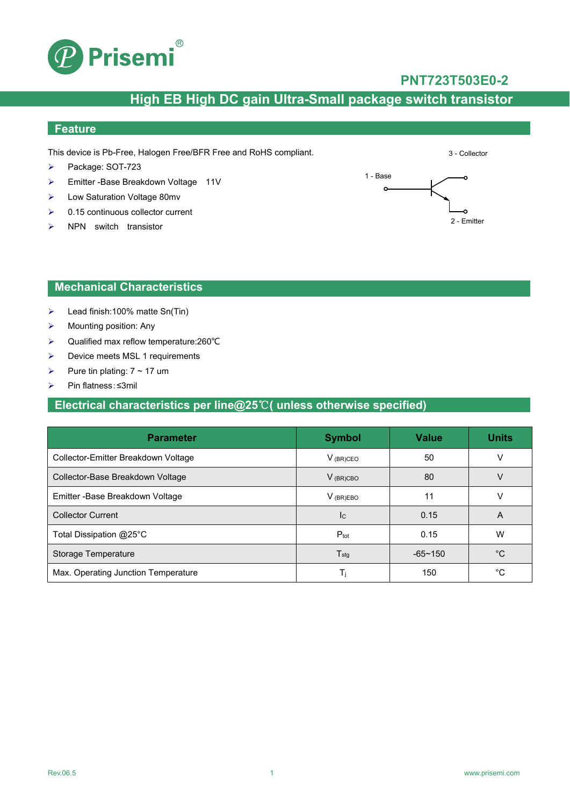

### **PNT723T503E0-2**

3 - Collector

## **High EB High DC gain Ultra-Small package switch transistor**

## **Feature**

This device is Pb-Free, Halogen Free/BFR Free and RoHS compliant.

- Package: SOT-723
- ▶ Emitter -Base Breakdown Voltage 11V
- Low Saturation Voltage 80mv
- $\geq$  0.15 continuous collector current
- $\triangleright$  NPN switch transistor



#### **Mechanical Characteristics**

- $\blacktriangleright$  Lead finish:100% matte Sn(Tin)
- $\triangleright$  Mounting position: Any
- Qualified max reflow temperature:260℃
- > Device meets MSL 1 requirements
- Pure tin plating:  $7 \sim 17$  um
- Pin flatness:≤3mil

### **Electrical characteristics per line@25**℃**( unless otherwise specified)**

| <b>Parameter</b>                    | <b>Symbol</b>               | <b>Value</b>   | <b>Units</b> |
|-------------------------------------|-----------------------------|----------------|--------------|
| Collector-Emitter Breakdown Voltage | $V_{(BR)CEO}$               | 50             |              |
| Collector-Base Breakdown Voltage    | $V_{(BR)CBO}$               | 80             |              |
| Emitter - Base Breakdown Voltage    | $V_{(BR)EBO}$               | 11             | V            |
| <b>Collector Current</b>            | <b>I</b> c                  | 0.15           | A            |
| Total Dissipation @25°C             | $P_{\text{tot}}$            | 0.15           | W            |
| Storage Temperature                 | $\mathsf{T}_{\textsf{stg}}$ | $-65 \sim 150$ | °C           |
| Max. Operating Junction Temperature | Τi                          | 150            | °C           |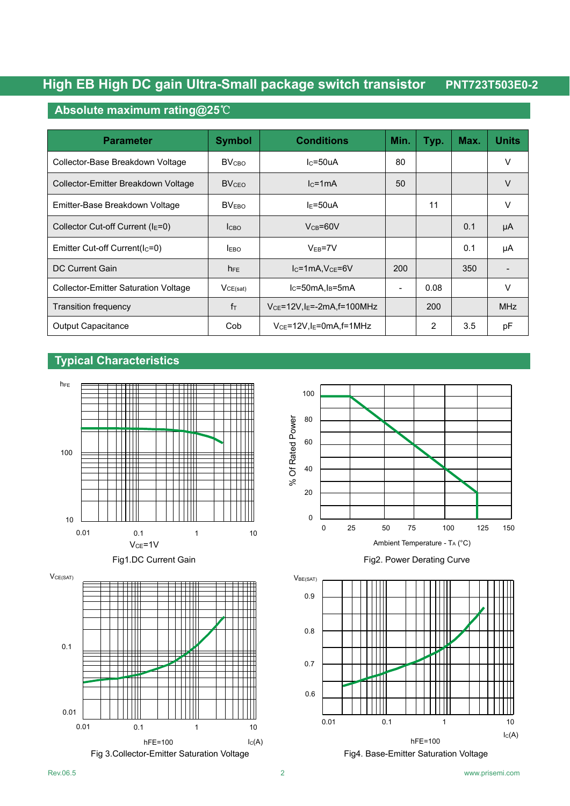## **High EB High DC gain Ultra-Small package switch transistor PNT723T503E0-2**

### **Absolute maximum rating@25**℃

| <b>Parameter</b>                            | <b>Symbol</b>           | <b>Conditions</b>                | Min. | Typ. | Max. | <b>Units</b> |
|---------------------------------------------|-------------------------|----------------------------------|------|------|------|--------------|
| Collector-Base Breakdown Voltage            | <b>BV<sub>CBO</sub></b> | $lc = 50uA$                      | 80   |      |      | V            |
| Collector-Emitter Breakdown Voltage         | <b>BVCFO</b>            | $lc = 1mA$                       | 50   |      |      | $\vee$       |
| Emitter-Base Breakdown Voltage              | BV <sub>EBO</sub>       | $I_F = 50uA$                     |      | 11   |      | V            |
| Collector Cut-off Current ( $IE=0$ )        | <b>I</b> CBO            | $V_{CB} = 60V$                   |      |      | 0.1  | μA           |
| Emitter Cut-off Current(Ic=0)               | <b>EBO</b>              | $VEB=7V$                         |      |      | 0.1  | μA           |
| DC Current Gain                             | $h_{FE}$                | $IC=1mA, VCE=6V$                 | 200  |      | 350  |              |
| <b>Collector-Emitter Saturation Voltage</b> | VCE(sat)                | $lc = 50mA$ , $ls = 5mA$         |      | 0.08 |      | V            |
| Transition frequency                        | $f_{\text{T}}$          | $VCE=12V, IE=2mA, f=100MHz$      |      | 200  |      | <b>MHz</b>   |
| <b>Output Capacitance</b>                   | Cob                     | $V_{CE}$ =12V,l $_E$ =0mA,f=1MHz |      | 2    | 3.5  | pF           |

#### **Typical Characteristics**











Fig1.DC Current Gain Fig1.DC Current Gain



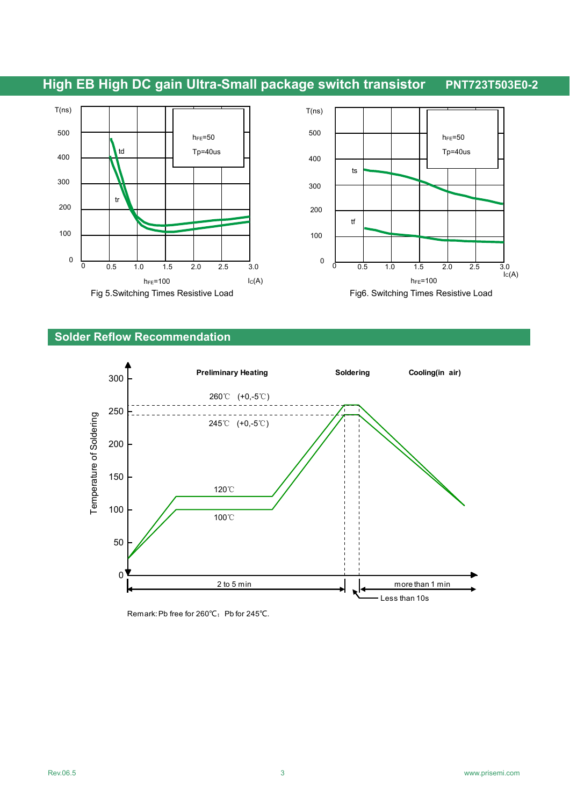



#### **Solder Reflow Recommendation**



Remark: Pb free for 260℃; Pb for 245℃.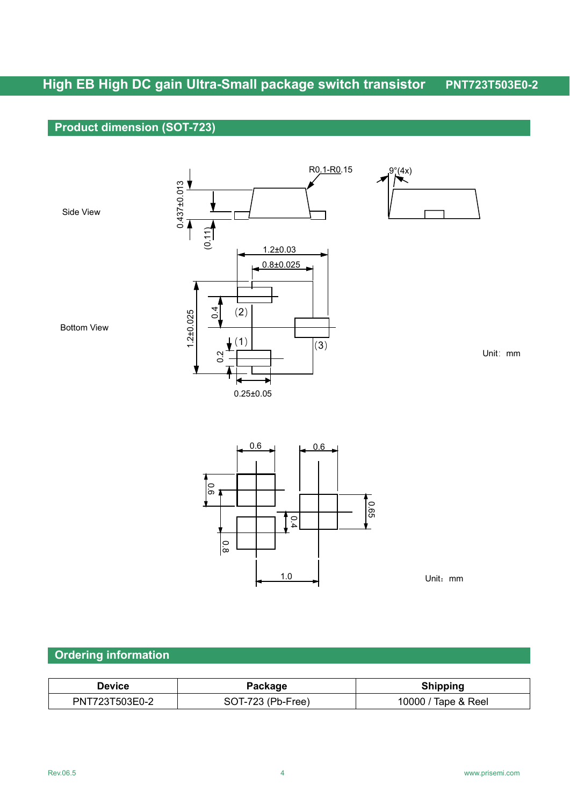# **High EB High DC gain Ultra-Small package switch transistor PNT723T503E0-2**

## **Product dimension (SOT-723)**





Unit:mm

## **Ordering information**

| Device         | Package           | <b>Shipping</b>     |
|----------------|-------------------|---------------------|
| PNT723T503E0-2 | SOT-723 (Pb-Free) | 10000 / Tape & Reel |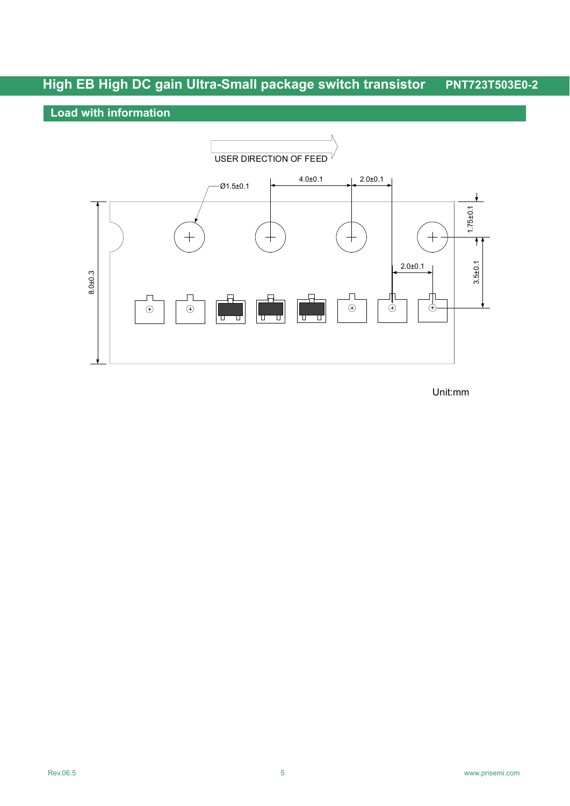# **High EB High DC gain Ultra-Small package switch transistor PNT723T503E0-2**

## **Load with information**



Unit:mm